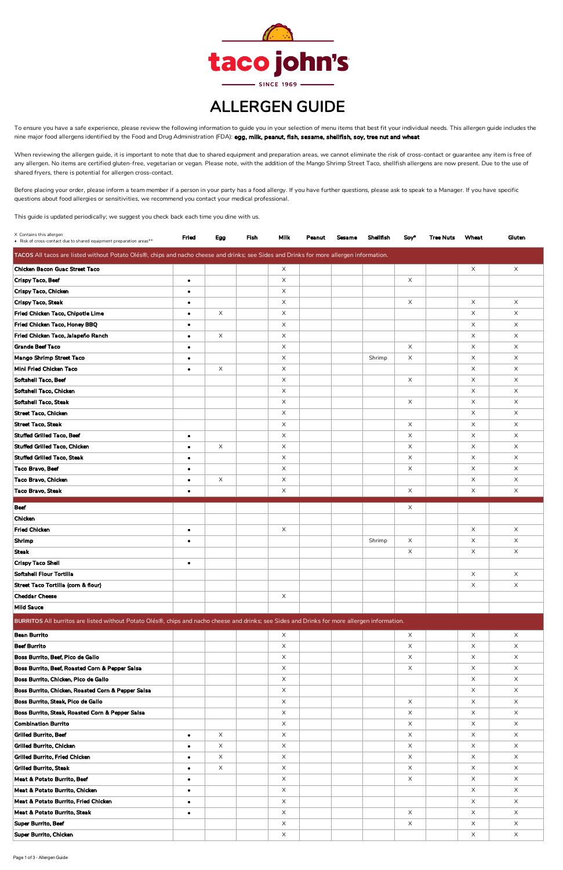When reviewing the allergen guide, it is important to note that due to shared equipment and preparation areas, we cannot eliminate the risk of cross-contact or guarantee any item is free of any allergen. No items are certified gluten-free, vegetarian or vegan. Please note, with the addition of the Mango Shrimp Street Taco, shellfish allergens are now present. Due to the use of shared fryers, there is potential for allergen cross-contact.

Before placing your order, please inform a team member if a person in your party has a food allergy. If you have further questions, please ask to speak to a Manager. If you have specific questions about food allergies or sensitivities, we recommend you contact your medical professional.

| X Contains this allergen<br>• Risk of cross-contact due to shared equipment preparation areas**                                               | Fried                  | Egg      | Fish | <b>Milk</b>          | Peanut | <b>Sesame</b> | <b>Shellfish</b> | Soy*                 | <b>Tree Nuts</b> | Wheat         | Gluten        |
|-----------------------------------------------------------------------------------------------------------------------------------------------|------------------------|----------|------|----------------------|--------|---------------|------------------|----------------------|------------------|---------------|---------------|
| TACOS All tacos are listed without Potato Olés®, chips and nacho cheese and drinks; see Sides and Drinks for more allergen information.       |                        |          |      |                      |        |               |                  |                      |                  |               |               |
|                                                                                                                                               |                        |          |      |                      |        |               |                  |                      |                  |               |               |
| Chicken Bacon Guac Street Taco                                                                                                                |                        |          |      | $\times$             |        |               |                  |                      |                  | X             | $\times$      |
| Crispy Taco, Beef<br>Crispy Taco, Chicken                                                                                                     | $\bullet$              |          |      | X<br>X               |        |               |                  | $\times$             |                  |               |               |
| <b>Crispy Taco, Steak</b>                                                                                                                     | $\bullet$              |          |      | X.                   |        |               |                  | $\times$             |                  | X             | $\times$      |
| Fried Chicken Taco, Chipotle Lime                                                                                                             | $\bullet$<br>$\bullet$ | $\times$ |      | X                    |        |               |                  |                      |                  | $\times$      | $\times$      |
| Fried Chicken Taco, Honey BBQ                                                                                                                 | $\bullet$              |          |      | X.                   |        |               |                  |                      |                  | X             | $\times$      |
| Fried Chicken Taco, Jalapeño Ranch                                                                                                            | $\bullet$              | $\times$ |      | X                    |        |               |                  |                      |                  | $\times$      | $\times$      |
| <b>Grande Beef Taco</b>                                                                                                                       | $\bullet$              |          |      | $\times$             |        |               |                  | $\times$             |                  | $\times$      | X             |
| Mango Shrimp Street Taco                                                                                                                      | $\bullet$              |          |      | X.                   |        |               | Shrimp           | $\times$             |                  | X             | $\times$      |
| Mini Fried Chicken Taco                                                                                                                       | $\bullet$              | $\times$ |      | $\times$             |        |               |                  |                      |                  | $\times$      | X             |
| Softshell Taco, Beef                                                                                                                          |                        |          |      | $\times$             |        |               |                  | $\times$             |                  | X             | X             |
| Softshell Taco, Chicken                                                                                                                       |                        |          |      | X                    |        |               |                  |                      |                  | $\times$      | $\times$      |
| Softshell Taco, Steak                                                                                                                         |                        |          |      | $\times$             |        |               |                  | $\times$             |                  | $\times$      | $\times$      |
| <b>Street Taco, Chicken</b>                                                                                                                   |                        |          |      | X.                   |        |               |                  |                      |                  | X             | $\times$      |
| <b>Street Taco, Steak</b>                                                                                                                     |                        |          |      | $\times$             |        |               |                  | $\times$             |                  | X             | X             |
| <b>Stuffed Grilled Taco, Beef</b>                                                                                                             | $\bullet$              |          |      | $\times$             |        |               |                  | $\times$             |                  | X             | $\times$      |
| <b>Stuffed Grilled Taco, Chicken</b>                                                                                                          | $\bullet$              | $\times$ |      | X                    |        |               |                  | $\times$             |                  | $\times$      | $\times$      |
| <b>Stuffed Grilled Taco, Steak</b>                                                                                                            | $\bullet$              |          |      | X                    |        |               |                  | $\times$             |                  | $\times$      | $\times$      |
| Taco Bravo, Beef                                                                                                                              | $\bullet$              |          |      | $\times$             |        |               |                  | $\times$             |                  | X             | $\times$      |
| Taco Bravo, Chicken                                                                                                                           | $\bullet$              | X        |      | X.                   |        |               |                  |                      |                  | X             | $\times$      |
| Taco Bravo, Steak                                                                                                                             | $\bullet$              |          |      | X                    |        |               |                  | $\times$             |                  | X             | $\times$      |
| <b>Beef</b>                                                                                                                                   |                        |          |      |                      |        |               |                  |                      |                  |               |               |
|                                                                                                                                               |                        |          |      |                      |        |               |                  | X                    |                  |               |               |
| Chicken<br><b>Fried Chicken</b>                                                                                                               |                        |          |      |                      |        |               |                  |                      |                  |               |               |
|                                                                                                                                               | $\bullet$              |          |      | X                    |        |               |                  | $\times$             |                  | X<br>$\times$ | $\times$      |
| Shrimp<br><b>Steak</b>                                                                                                                        | $\bullet$              |          |      |                      |        |               | Shrimp           |                      |                  |               | X             |
| <b>Crispy Taco Shell</b>                                                                                                                      |                        |          |      |                      |        |               |                  | $\times$             |                  | X             | $\times$      |
| Softshell Flour Tortilla                                                                                                                      | $\bullet$              |          |      |                      |        |               |                  |                      |                  | $\times$      | $\times$      |
| Street Taco Tortilla (corn & flour)                                                                                                           |                        |          |      |                      |        |               |                  |                      |                  | X             | $\times$      |
| <b>Cheddar Cheese</b>                                                                                                                         |                        |          |      | $\times$             |        |               |                  |                      |                  |               |               |
| <b>Mild Sauce</b>                                                                                                                             |                        |          |      |                      |        |               |                  |                      |                  |               |               |
| BURRITOS All burritos are listed without Potato Olés®, chips and nacho cheese and drinks; see Sides and Drinks for more allergen information. |                        |          |      |                      |        |               |                  |                      |                  |               |               |
|                                                                                                                                               |                        |          |      |                      |        |               |                  |                      |                  |               |               |
| <b>Bean Burrito</b><br><b>Beef Burrito</b>                                                                                                    |                        |          |      | $\times$             |        |               |                  | $\times$             |                  | $\times$      | $\times$      |
| Boss Burrito, Beef, Pico de Gallo                                                                                                             |                        |          |      | $\times$<br>$\times$ |        |               |                  | $\times$<br>$\times$ |                  | $\times$<br>X | $\times$<br>X |
| Boss Burrito, Beef, Roasted Corn & Pepper Salsa                                                                                               |                        |          |      | $\times$             |        |               |                  | $\times$             |                  | $\times$      | $\times$      |
| Boss Burrito, Chicken, Pico de Gallo                                                                                                          |                        |          |      | $\times$             |        |               |                  |                      |                  | $\times$      | $\times$      |
| Boss Burrito, Chicken, Roasted Corn & Pepper Salsa                                                                                            |                        |          |      | $\times$             |        |               |                  |                      |                  | $\times$      | $\times$      |
| Boss Burrito, Steak, Pico de Gallo                                                                                                            |                        |          |      | X                    |        |               |                  | $\times$             |                  | X             | X             |
| Boss Burrito, Steak, Roasted Corn & Pepper Salsa                                                                                              |                        |          |      | $\times$             |        |               |                  | $\times$             |                  | X             | $\times$      |
| <b>Combination Burrito</b>                                                                                                                    |                        |          |      | X                    |        |               |                  | $\times$             |                  | $\times$      | $\times$      |
| <b>Grilled Burrito, Beef</b>                                                                                                                  | $\bullet$              | $\times$ |      | $\times$             |        |               |                  | $\times$             |                  | $\times$      | X             |
| Grilled Burrito, Chicken                                                                                                                      | $\bullet$              | $\times$ |      | $\times$             |        |               |                  | $\times$             |                  | $\times$      | $\times$      |
| <b>Grilled Burrito, Fried Chicken</b>                                                                                                         | $\bullet$              | $\times$ |      | $\times$             |        |               |                  | $\times$             |                  | $\times$      | $\times$      |
| <b>Grilled Burrito, Steak</b>                                                                                                                 | $\bullet$              | $\times$ |      | $\times$             |        |               |                  | $\times$             |                  | X             | X             |
| Meat & Potato Burrito, Beef                                                                                                                   | $\bullet$              |          |      | $\times$             |        |               |                  | $\times$             |                  | $\times$      | $\times$      |
| Meat & Potato Burrito, Chicken                                                                                                                | $\bullet$              |          |      | $\times$             |        |               |                  |                      |                  | $\times$      | $\times$      |
| Meat & Potato Burrito, Fried Chicken                                                                                                          | $\bullet$              |          |      | X.                   |        |               |                  |                      |                  | $\times$      | $\times$      |
| Meat & Potato Burrito, Steak                                                                                                                  | $\bullet$              |          |      | $\times$             |        |               |                  | $\times$             |                  | $\times$      | X             |
| Super Burrito, Beef                                                                                                                           |                        |          |      | X                    |        |               |                  | $\mathsf X$          |                  | X             | $\times$      |
| Super Burrito, Chicken                                                                                                                        |                        |          |      | X                    |        |               |                  |                      |                  | X             | $\times$      |



## ALLERGEN GUIDE

To ensure you have a safe experience, please review the following information to guide you in your selection of menu items that best fit your individual needs. This allergen guide includes the nine major food allergens identified by the Food and Drug Administration (FDA): egg, milk, peanut, fish, sesame, shellfish, soy, tree nut and wheat

This guide is updated periodically; we suggest you check back each time you dine with us.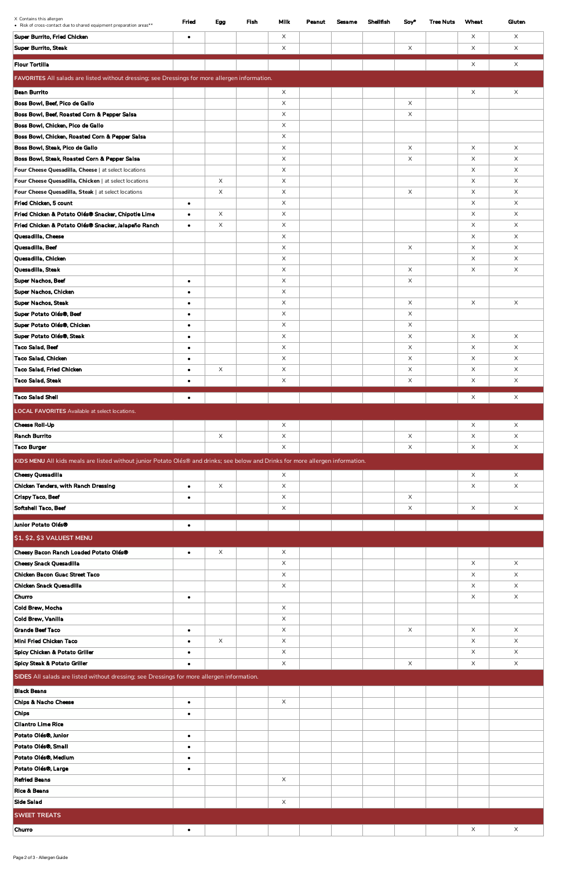| X Contains this allergen<br>• Risk of cross-contact due to shared equipment preparation areas**                                 | Fried     | Egg         | <b>Fish</b> | <b>Milk</b> | Peanut | <b>Sesame</b> | <b>Shellfish</b> | Soy*        | <b>Tree Nuts</b> | Wheat         | Gluten   |
|---------------------------------------------------------------------------------------------------------------------------------|-----------|-------------|-------------|-------------|--------|---------------|------------------|-------------|------------------|---------------|----------|
| Super Burrito, Fried Chicken                                                                                                    | $\bullet$ |             |             | X           |        |               |                  |             |                  | X             | X        |
| <b>Super Burrito, Steak</b>                                                                                                     |           |             |             | X           |        |               |                  | X           |                  | X             | X        |
|                                                                                                                                 |           |             |             |             |        |               |                  |             |                  |               |          |
| <b>Flour Tortilla</b>                                                                                                           |           |             |             |             |        |               |                  |             |                  | X             | X        |
| FAVORITES All salads are listed without dressing; see Dressings for more allergen information.                                  |           |             |             |             |        |               |                  |             |                  |               |          |
| <b>Bean Burrito</b>                                                                                                             |           |             |             | $\times$    |        |               |                  |             |                  | X             | X        |
| Boss Bowl, Beef, Pico de Gallo                                                                                                  |           |             |             | X           |        |               |                  | X           |                  |               |          |
| Boss Bowl, Beef, Roasted Corn & Pepper Salsa                                                                                    |           |             |             | X           |        |               |                  | X           |                  |               |          |
| Boss Bowl, Chicken, Pico de Gallo                                                                                               |           |             |             | X           |        |               |                  |             |                  |               |          |
| Boss Bowl, Chicken, Roasted Corn & Pepper Salsa                                                                                 |           |             |             | X.          |        |               |                  |             |                  |               |          |
| Boss Bowl, Steak, Pico de Gallo                                                                                                 |           |             |             | X           |        |               |                  | X           |                  | X             | X        |
| Boss Bowl, Steak, Roasted Corn & Pepper Salsa                                                                                   |           |             |             | X           |        |               |                  | X           |                  | X             | X        |
| Four Cheese Quesadilla, Cheese   at select locations                                                                            |           |             |             | X           |        |               |                  |             |                  | X             | X        |
| Four Cheese Quesadilla, Chicken   at select locations                                                                           |           | $\mathsf X$ |             | X           |        |               |                  |             |                  | X             | X        |
| Four Cheese Quesadilla, Steak   at select locations                                                                             |           | $\times$    |             | X           |        |               |                  | $\times$    |                  | X             | X        |
| Fried Chicken, 5 count                                                                                                          | $\bullet$ |             |             | X.          |        |               |                  |             |                  | $\times$      | X        |
| Fried Chicken & Potato Olés® Snacker, Chipotle Lime                                                                             | $\bullet$ | $\mathsf X$ |             | X           |        |               |                  |             |                  | X             | X        |
| Fried Chicken & Potato Olés® Snacker, Jalapeño Ranch<br>Quesadilla, Cheese                                                      | $\bullet$ | $\times$    |             | X<br>X      |        |               |                  |             |                  | X<br>$\times$ | X<br>X   |
| Quesadilla, Beef                                                                                                                |           |             |             | X.          |        |               |                  | $\times$    |                  | X             | X        |
| Quesadilla, Chicken                                                                                                             |           |             |             | X           |        |               |                  |             |                  | X             | X        |
| Quesadilla, Steak                                                                                                               |           |             |             | X           |        |               |                  | X           |                  | X             | X        |
| Super Nachos, Beef                                                                                                              | $\bullet$ |             |             | X.          |        |               |                  | X           |                  |               |          |
| Super Nachos, Chicken                                                                                                           | $\bullet$ |             |             | X.          |        |               |                  |             |                  |               |          |
| Super Nachos, Steak                                                                                                             | $\bullet$ |             |             | X           |        |               |                  | $\times$    |                  | X             | X        |
| Super Potato Olés®, Beef                                                                                                        | $\bullet$ |             |             | X.          |        |               |                  | X           |                  |               |          |
| Super Potato Olés®, Chicken                                                                                                     | $\bullet$ |             |             | X           |        |               |                  | X           |                  |               |          |
| Super Potato Olés®, Steak                                                                                                       | $\bullet$ |             |             | X           |        |               |                  | X           |                  | X             | X        |
| Taco Salad, Beef                                                                                                                | $\bullet$ |             |             | X           |        |               |                  | $\times$    |                  | $\times$      | X        |
| Taco Salad, Chicken                                                                                                             | $\bullet$ |             |             | X           |        |               |                  | $\mathsf X$ |                  | X             | X        |
| Taco Salad, Fried Chicken                                                                                                       | $\bullet$ | $\mathsf X$ |             | X           |        |               |                  | X           |                  | X             | X        |
| <b>Taco Salad, Steak</b>                                                                                                        | $\bullet$ |             |             | X           |        |               |                  | X           |                  | X             | X        |
| <b>Taco Salad Shell</b>                                                                                                         | $\bullet$ |             |             |             |        |               |                  |             |                  | X             | X        |
|                                                                                                                                 |           |             |             |             |        |               |                  |             |                  |               |          |
| <b>LOCAL FAVORITES</b> Available at select locations.                                                                           |           |             |             |             |        |               |                  |             |                  |               |          |
| <b>Cheese Roll-Up</b>                                                                                                           |           |             |             | X           |        |               |                  |             |                  | X             | X        |
| Ranch Burrito                                                                                                                   |           | $\mathsf X$ |             | X           |        |               |                  | X           |                  | X             | X        |
| <b>Taco Burger</b>                                                                                                              |           |             |             | X           |        |               |                  | X           |                  | X             | $\times$ |
| KIDS MENU All kids meals are listed without junior Potato Olés® and drinks; see below and Drinks for more allergen information. |           |             |             |             |        |               |                  |             |                  |               |          |
| Cheesy Quesadilla                                                                                                               |           |             |             | $\mathsf X$ |        |               |                  |             |                  | X             | X        |
| Chicken Tenders, with Ranch Dressing                                                                                            | $\bullet$ | $\mathsf X$ |             | X           |        |               |                  |             |                  | $\times$      | X        |
| Crispy Taco, Beef                                                                                                               | $\bullet$ |             |             | X.          |        |               |                  | X           |                  |               |          |
| Softshell Taco, Beef                                                                                                            |           |             |             | X           |        |               |                  | X           |                  | X             | $\times$ |
| Junior Potato Olés®                                                                                                             | $\bullet$ |             |             |             |        |               |                  |             |                  |               |          |
| \$1, \$2, \$3 VALUEST MENU                                                                                                      |           |             |             |             |        |               |                  |             |                  |               |          |
|                                                                                                                                 |           |             |             |             |        |               |                  |             |                  |               |          |
| Cheesy Bacon Ranch Loaded Potato Olés®                                                                                          | $\bullet$ | X           |             | X           |        |               |                  |             |                  |               |          |
| <b>Cheesy Snack Quesadilla</b><br>Chicken Bacon Guac Street Taco                                                                |           |             |             | X           |        |               |                  |             |                  | X             | X        |
| Chicken Snack Quesadilla                                                                                                        |           |             |             | X<br>X      |        |               |                  |             |                  | X<br>X        | X<br>X   |
| <b>Churro</b>                                                                                                                   | $\bullet$ |             |             |             |        |               |                  |             |                  | X             | X        |
| Cold Brew, Mocha                                                                                                                |           |             |             | X           |        |               |                  |             |                  |               |          |
| Cold Brew, Vanilla                                                                                                              |           |             |             | X           |        |               |                  |             |                  |               |          |
| <b>Grande Beef Taco</b>                                                                                                         | $\bullet$ |             |             | X           |        |               |                  | X           |                  | X             | X        |
| Mini Fried Chicken Taco                                                                                                         | $\bullet$ | $\times$    |             | X           |        |               |                  |             |                  | X             | X        |
| Spicy Chicken & Potato Griller                                                                                                  | $\bullet$ |             |             | X           |        |               |                  |             |                  | $\times$      | X        |
| Spicy Steak & Potato Griller                                                                                                    | $\bullet$ |             |             | X           |        |               |                  | X           |                  | X             | X        |
| SIDES All salads are listed without dressing; see Dressings for more allergen information.                                      |           |             |             |             |        |               |                  |             |                  |               |          |
| <b>Black Beans</b>                                                                                                              |           |             |             |             |        |               |                  |             |                  |               |          |
| Chips & Nacho Cheese                                                                                                            | $\bullet$ |             |             | X           |        |               |                  |             |                  |               |          |
| <b>Chips</b>                                                                                                                    | $\bullet$ |             |             |             |        |               |                  |             |                  |               |          |
| <b>Cilantro Lime Rice</b>                                                                                                       |           |             |             |             |        |               |                  |             |                  |               |          |
| Potato Olés®, Junior                                                                                                            | $\bullet$ |             |             |             |        |               |                  |             |                  |               |          |
| Potato Olés®, Small                                                                                                             | $\bullet$ |             |             |             |        |               |                  |             |                  |               |          |
| Potato Olés®, Medium                                                                                                            | $\bullet$ |             |             |             |        |               |                  |             |                  |               |          |
| Potato Olés®, Large                                                                                                             | $\bullet$ |             |             |             |        |               |                  |             |                  |               |          |
| <b>Refried Beans</b>                                                                                                            |           |             |             | X           |        |               |                  |             |                  |               |          |
| <b>Rice &amp; Beans</b>                                                                                                         |           |             |             |             |        |               |                  |             |                  |               |          |
| Side Salad                                                                                                                      |           |             |             | X           |        |               |                  |             |                  |               |          |
| <b>SWEET TREATS</b>                                                                                                             |           |             |             |             |        |               |                  |             |                  |               |          |
| Churro                                                                                                                          | $\bullet$ |             |             |             |        |               |                  |             |                  | X             | X        |
|                                                                                                                                 |           |             |             |             |        |               |                  |             |                  |               |          |